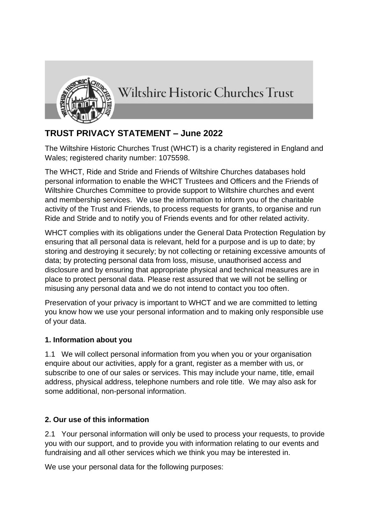

Wiltshire Historic Churches Trust

# **TRUST PRIVACY STATEMENT – June 2022**

The Wiltshire Historic Churches Trust (WHCT) is a charity registered in England and Wales; registered charity number: 1075598.

The WHCT, Ride and Stride and Friends of Wiltshire Churches databases hold personal information to enable the WHCT Trustees and Officers and the Friends of Wiltshire Churches Committee to provide support to Wiltshire churches and event and membership services. We use the information to inform you of the charitable activity of the Trust and Friends, to process requests for grants, to organise and run Ride and Stride and to notify you of Friends events and for other related activity.

WHCT complies with its obligations under the General Data Protection Regulation by ensuring that all personal data is relevant, held for a purpose and is up to date; by storing and destroying it securely; by not collecting or retaining excessive amounts of data; by protecting personal data from loss, misuse, unauthorised access and disclosure and by ensuring that appropriate physical and technical measures are in place to protect personal data. Please rest assured that we will not be selling or misusing any personal data and we do not intend to contact you too often.

Preservation of your privacy is important to WHCT and we are committed to letting you know how we use your personal information and to making only responsible use of your data.

## **1. Information about you**

1.1 We will collect personal information from you when you or your organisation enquire about our activities, apply for a grant, register as a member with us, or subscribe to one of our sales or services. This may include your name, title, email address, physical address, telephone numbers and role title. We may also ask for some additional, non-personal information.

## **2. Our use of this information**

2.1 Your personal information will only be used to process your requests, to provide you with our support, and to provide you with information relating to our events and fundraising and all other services which we think you may be interested in.

We use your personal data for the following purposes: